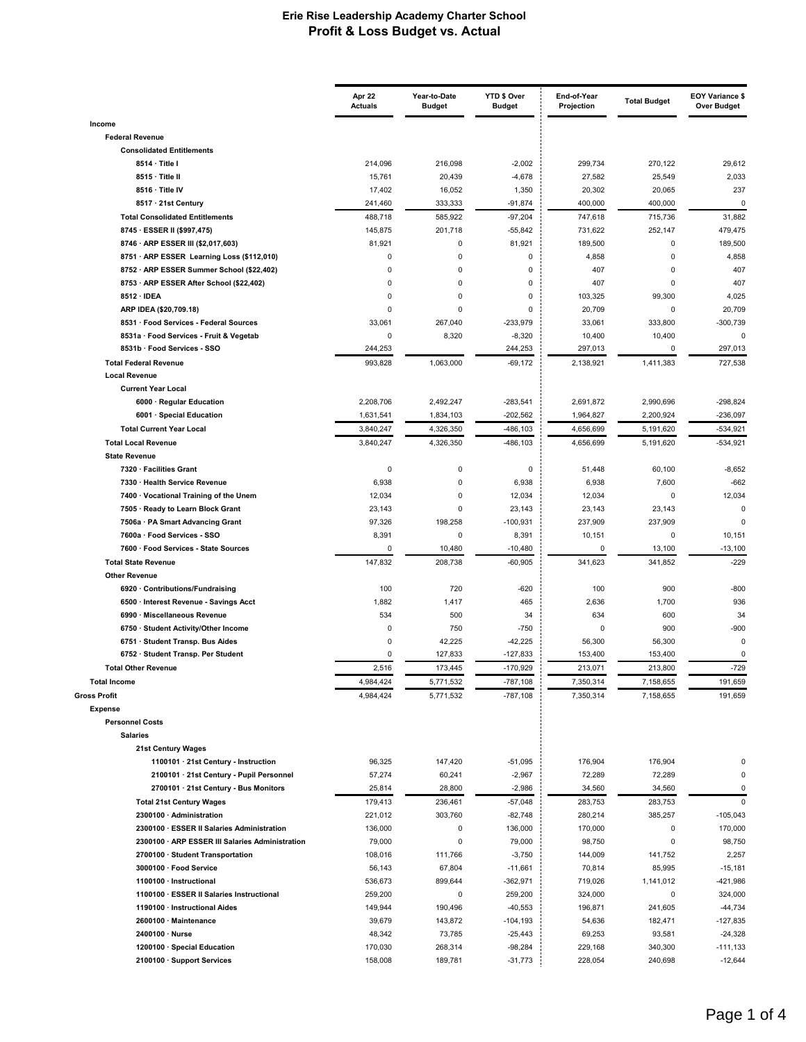|                                                                        | Apr 22<br><b>Actuals</b> | Year-to-Date<br><b>Budget</b> | YTD \$ Over<br><b>Budget</b> | End-of-Year<br>Projection | <b>Total Budget</b> | <b>EOY Variance \$</b><br><b>Over Budget</b> |
|------------------------------------------------------------------------|--------------------------|-------------------------------|------------------------------|---------------------------|---------------------|----------------------------------------------|
| Income                                                                 |                          |                               |                              |                           |                     |                                              |
| <b>Federal Revenue</b>                                                 |                          |                               |                              |                           |                     |                                              |
| <b>Consolidated Entitlements</b>                                       |                          |                               |                              |                           |                     |                                              |
| 8514 · Title I<br>8515 · Title II                                      | 214,096                  | 216,098                       | $-2,002$                     | 299,734                   | 270,122             | 29,612                                       |
| 8516 · Title IV                                                        | 15,761<br>17,402         | 20,439<br>16,052              | $-4,678$<br>1,350            | 27,582<br>20,302          | 25,549<br>20,065    | 2,033<br>237                                 |
| 8517 · 21st Century                                                    | 241,460                  | 333,333                       | $-91,874$                    | 400,000                   | 400,000             | 0                                            |
| <b>Total Consolidated Entitlements</b>                                 | 488,718                  | 585,922                       | $-97,204$                    | 747,618                   | 715,736             | 31,882                                       |
| 8745 · ESSER II (\$997,475)                                            | 145,875                  | 201,718                       | $-55,842$                    | 731,622                   | 252,147             | 479,475                                      |
| 8746 · ARP ESSER III (\$2,017,603)                                     | 81,921                   | 0                             | 81,921                       | 189,500                   | 0                   | 189,500                                      |
| 8751 · ARP ESSER Learning Loss (\$112,010)                             | $\Omega$                 | $\mathbf 0$                   | 0                            | 4,858                     | 0                   | 4,858                                        |
| 8752 · ARP ESSER Summer School (\$22,402)                              | 0                        | $\mathbf 0$                   | 0                            | 407                       | 0                   | 407                                          |
| 8753 · ARP ESSER After School (\$22,402)                               | $\Omega$                 | $\mathbf 0$                   | 0                            | 407                       | 0                   | 407                                          |
| 8512 · IDEA                                                            | $\Omega$                 | 0                             | 0                            | 103,325                   | 99,300              | 4,025                                        |
| ARP IDEA (\$20,709.18)                                                 | $\Omega$                 | $\mathbf 0$                   | 0                            | 20,709                    | 0                   | 20,709                                       |
| 8531 · Food Services - Federal Sources                                 | 33,061                   | 267,040                       | $-233,979$                   | 33,061                    | 333,800             | $-300,739$<br>$\mathbf 0$                    |
| 8531a · Food Services - Fruit & Vegetab<br>8531b · Food Services - SSO | 0<br>244,253             | 8,320                         | $-8,320$<br>244,253          | 10,400<br>297,013         | 10,400<br>0         | 297,013                                      |
| <b>Total Federal Revenue</b>                                           | 993.828                  | 1,063,000                     | $-69,172$                    | 2,138,921                 | 1,411,383           | 727,538                                      |
| <b>Local Revenue</b>                                                   |                          |                               |                              |                           |                     |                                              |
| <b>Current Year Local</b>                                              |                          |                               |                              |                           |                     |                                              |
| 6000 · Regular Education                                               | 2,208,706                | 2,492,247                     | $-283,541$                   | 2,691,872                 | 2,990,696           | $-298,824$                                   |
| 6001 · Special Education                                               | 1,631,541                | 1,834,103                     | $-202,562$                   | 1,964,827                 | 2,200,924           | $-236,097$                                   |
| <b>Total Current Year Local</b>                                        | 3,840,247                | 4,326,350                     | -486,103                     | 4,656,699                 | 5,191,620           | $-534,921$                                   |
| <b>Total Local Revenue</b>                                             | 3,840,247                | 4,326,350                     | $-486, 103$                  | 4,656,699                 | 5,191,620           | $-534,921$                                   |
| <b>State Revenue</b>                                                   |                          |                               |                              |                           |                     |                                              |
| 7320 · Facilities Grant                                                | 0                        | $\mathbf 0$                   | $\pmb{0}$                    | 51,448                    | 60,100              | $-8,652$                                     |
| 7330 · Health Service Revenue                                          | 6,938                    | $\mathbf 0$                   | 6,938                        | 6,938                     | 7,600               | $-662$                                       |
| 7400 · Vocational Training of the Unem                                 | 12,034                   | 0<br>0                        | 12,034                       | 12,034                    | 0                   | 12,034<br>$\mathbf 0$                        |
| 7505 · Ready to Learn Block Grant<br>7506a · PA Smart Advancing Grant  | 23,143<br>97,326         | 198,258                       | 23,143<br>$-100,931$         | 23,143<br>237,909         | 23,143<br>237,909   | $\mathbf 0$                                  |
| 7600a · Food Services - SSO                                            | 8,391                    | 0                             | 8,391                        | 10,151                    | 0                   | 10,151                                       |
| 7600 · Food Services - State Sources                                   | 0                        | 10,480                        | $-10,480$                    | 0                         | 13,100              | $-13,100$                                    |
| <b>Total State Revenue</b>                                             | 147,832                  | 208,738                       | $-60,905$                    | 341,623                   | 341,852             | $-229$                                       |
| <b>Other Revenue</b>                                                   |                          |                               |                              |                           |                     |                                              |
| 6920 · Contributions/Fundraising                                       | 100                      | 720                           | $-620$                       | 100                       | 900                 | $-800$                                       |
| 6500 · Interest Revenue - Savings Acct                                 | 1,882                    | 1,417                         | 465                          | 2,636                     | 1,700               | 936                                          |
| 6990 · Miscellaneous Revenue                                           | 534                      | 500                           | 34                           | 634                       | 600                 | 34                                           |
| 6750 · Student Activity/Other Income                                   | 0                        | 750                           | $-750$                       | 0                         | 900                 | -900                                         |
| 6751 · Student Transp. Bus Aides<br>6752 · Student Transp. Per Student | $\Omega$<br>0            | 42,225<br>127,833             | $-42,225$<br>$-127,833$      | 56,300<br>153,400         | 56,300<br>153,400   | $\mathbf 0$<br>0                             |
| <b>Total Other Revenue</b>                                             | 2,516                    | 173,445                       | $-170,929$                   | 213,071                   | 213,800             | $-729$                                       |
| <b>Total Income</b>                                                    | 4,984,424                | 5,771,532                     | $-787,108$                   | 7,350,314                 | 7,158,655           | 191,659                                      |
| <b>Gross Profit</b>                                                    | 4,984,424                | 5,771,532                     | $-787,108$                   | 7,350,314                 | 7,158,655           | 191,659                                      |
| <b>Expense</b>                                                         |                          |                               |                              |                           |                     |                                              |
| <b>Personnel Costs</b>                                                 |                          |                               |                              |                           |                     |                                              |
| <b>Salaries</b>                                                        |                          |                               |                              |                           |                     |                                              |
| 21st Century Wages                                                     |                          |                               |                              |                           |                     |                                              |
| 1100101 · 21st Century - Instruction                                   | 96,325                   | 147,420                       | $-51,095$                    | 176,904                   | 176,904             | $\mathbf 0$                                  |
| 2100101 · 21st Century - Pupil Personnel                               | 57,274                   | 60,241                        | $-2,967$                     | 72,289                    | 72,289              | 0                                            |
| 2700101 · 21st Century - Bus Monitors                                  | 25,814                   | 28,800                        | $-2,986$                     | 34,560                    | 34,560              | 0                                            |
| <b>Total 21st Century Wages</b><br>2300100 · Administration            | 179,413                  | 236,461<br>303,760            | $-57,048$<br>$-82,748$       | 283,753<br>280,214        | 283,753<br>385,257  | $\mathbf 0$<br>$-105,043$                    |
| 2300100 · ESSER II Salaries Administration                             | 221,012<br>136,000       | 0                             | 136,000                      | 170,000                   | 0                   | 170,000                                      |
| 2300100 · ARP ESSER III Salaries Administration                        | 79,000                   | $\mathbf 0$                   | 79,000                       | 98,750                    | 0                   | 98,750                                       |
| 2700100 · Student Transportation                                       | 108,016                  | 111,766                       | $-3,750$                     | 144,009                   | 141,752             | 2,257                                        |
| 3000100 · Food Service                                                 | 56,143                   | 67,804                        | $-11,661$                    | 70,814                    | 85,995              | $-15,181$                                    |
| 1100100 · Instructional                                                | 536,673                  | 899,644                       | -362,971                     | 719,026                   | 1,141,012           | $-421,986$                                   |
| 1100100 · ESSER II Salaries Instructional                              | 259,200                  | 0                             | 259,200                      | 324,000                   | 0                   | 324,000                                      |
| 1190100 · Instructional Aides                                          | 149,944                  | 190,496                       | $-40,553$                    | 196,871                   | 241,605             | $-44,734$                                    |
| 2600100 · Maintenance                                                  | 39,679                   | 143,872                       | $-104, 193$                  | 54,636                    | 182,471             | $-127,835$                                   |
| 2400100 · Nurse                                                        | 48,342                   | 73,785                        | $-25,443$                    | 69,253                    | 93,581              | $-24,328$                                    |
| 1200100 · Special Education<br>2100100 · Support Services              | 170,030<br>158,008       | 268,314<br>189,781            | $-98,284$<br>$-31,773$       | 229,168<br>228,054        | 340,300<br>240,698  | $-111,133$<br>$-12,644$                      |
|                                                                        |                          |                               |                              |                           |                     |                                              |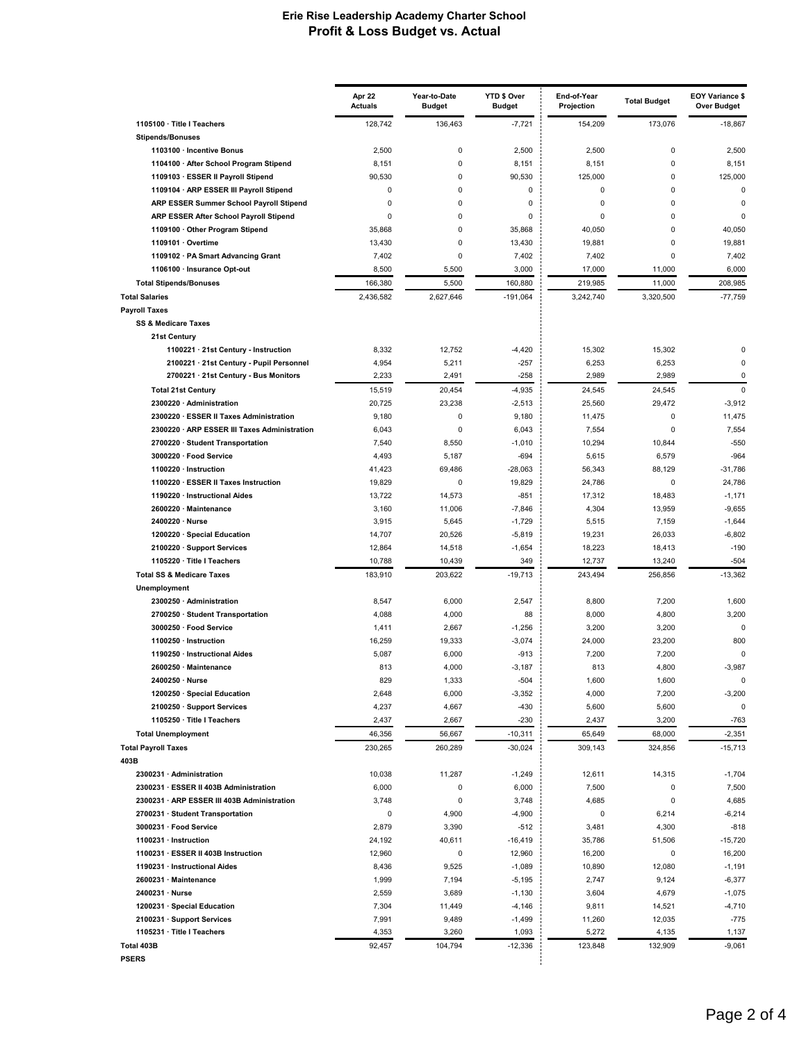|                                                                               | Apr 22<br><b>Actuals</b> | Year-to-Date<br><b>Budget</b> | YTD \$ Over<br><b>Budget</b> | End-of-Year<br>Projection | <b>Total Budget</b>   | <b>EOY Variance \$</b><br><b>Over Budget</b> |
|-------------------------------------------------------------------------------|--------------------------|-------------------------------|------------------------------|---------------------------|-----------------------|----------------------------------------------|
| 1105100 · Title I Teachers                                                    | 128,742                  | 136,463                       | $-7,721$                     | 154,209                   | 173,076               | $-18,867$                                    |
| <b>Stipends/Bonuses</b>                                                       |                          |                               |                              |                           |                       |                                              |
| 1103100 · Incentive Bonus                                                     | 2,500                    | 0                             | 2,500                        | 2,500                     | $\mathbf 0$           | 2,500                                        |
| 1104100 · After School Program Stipend                                        | 8,151                    | 0<br>0                        | 8,151<br>90,530              | 8,151<br>125,000          | $\mathbf 0$<br>0      | 8,151                                        |
| 1109103 · ESSER II Payroll Stipend<br>1109104 · ARP ESSER III Payroll Stipend | 90,530<br>0              | 0                             | 0                            | 0                         | $\mathbf 0$           | 125,000<br>$\mathbf 0$                       |
| ARP ESSER Summer School Payroll Stipend                                       | 0                        | 0                             | 0                            | 0                         | 0                     | 0                                            |
| ARP ESSER After School Payroll Stipend                                        | 0                        | $\Omega$                      | 0                            | $\Omega$                  | 0                     | $\Omega$                                     |
| 1109100 · Other Program Stipend                                               | 35,868                   | $\mathbf 0$                   | 35,868                       | 40,050                    | $\Omega$              | 40,050                                       |
| 1109101 · Overtime                                                            | 13,430                   | 0                             | 13,430                       | 19,881                    | $\mathbf 0$           | 19,881                                       |
| 1109102 · PA Smart Advancing Grant                                            | 7,402                    | $\Omega$                      | 7,402                        | 7,402                     | 0                     | 7,402                                        |
| 1106100 · Insurance Opt-out                                                   | 8,500                    | 5,500                         | 3,000                        | 17,000                    | 11,000                | 6,000                                        |
| <b>Total Stipends/Bonuses</b>                                                 | 166,380                  | 5,500                         | 160,880                      | 219,985                   | 11,000                | 208,985                                      |
| <b>Total Salaries</b>                                                         | 2,436,582                | 2,627,646                     | $-191,064$                   | 3,242,740                 | 3,320,500             | $-77,759$                                    |
| <b>Payroll Taxes</b>                                                          |                          |                               |                              |                           |                       |                                              |
| <b>SS &amp; Medicare Taxes</b>                                                |                          |                               |                              |                           |                       |                                              |
| 21st Century<br>1100221 · 21st Century - Instruction                          | 8,332                    | 12,752                        | $-4,420$                     | 15,302                    | 15,302                | 0                                            |
| 2100221 · 21st Century - Pupil Personnel                                      | 4,954                    | 5,211                         | $-257$                       | 6,253                     | 6,253                 | $\Omega$                                     |
| 2700221 · 21st Century - Bus Monitors                                         | 2,233                    | 2,491                         | $-258$                       | 2,989                     | 2,989                 | $\mathbf 0$                                  |
| <b>Total 21st Century</b>                                                     | 15,519                   | 20,454                        | $-4,935$                     | 24,545                    | 24,545                | $\mathbf 0$                                  |
| 2300220 · Administration                                                      | 20,725                   | 23,238                        | $-2,513$                     | 25,560                    | 29,472                | $-3,912$                                     |
| 2300220 · ESSER II Taxes Administration                                       | 9,180                    | 0                             | 9,180                        | 11,475                    | $\mathbf 0$           | 11,475                                       |
| 2300220 · ARP ESSER III Taxes Administration                                  | 6,043                    | 0                             | 6,043                        | 7,554                     | $\mathbf 0$           | 7,554                                        |
| 2700220 · Student Transportation                                              | 7,540                    | 8,550                         | $-1,010$                     | 10,294                    | 10,844                | $-550$                                       |
| 3000220 · Food Service                                                        | 4,493                    | 5,187                         | $-694$                       | 5,615                     | 6,579                 | $-964$                                       |
| 1100220 · Instruction                                                         | 41,423                   | 69,486                        | $-28,063$                    | 56,343                    | 88,129                | $-31,786$                                    |
| 1100220 · ESSER II Taxes Instruction                                          | 19,829                   | 0                             | 19,829                       | 24,786                    | 0                     | 24,786                                       |
| 1190220 · Instructional Aides<br>2600220 · Maintenance                        | 13,722<br>3,160          | 14,573<br>11,006              | $-851$<br>$-7,846$           | 17,312<br>4,304           | 18,483<br>13,959      | $-1,171$<br>$-9,655$                         |
| 2400220 · Nurse                                                               | 3,915                    | 5,645                         | $-1,729$                     | 5,515                     | 7,159                 | $-1,644$                                     |
| 1200220 · Special Education                                                   | 14,707                   | 20,526                        | $-5,819$                     | 19,231                    | 26,033                | $-6,802$                                     |
| 2100220 · Support Services                                                    | 12,864                   | 14,518                        | $-1,654$                     | 18,223                    | 18,413                | $-190$                                       |
| 1105220 · Title I Teachers                                                    | 10,788                   | 10,439                        | 349                          | 12,737                    | 13,240                | $-504$                                       |
| <b>Total SS &amp; Medicare Taxes</b>                                          | 183,910                  | 203,622                       | $-19,713$                    | 243,494                   | 256,856               | $-13,362$                                    |
| Unemployment                                                                  |                          |                               |                              |                           |                       |                                              |
| 2300250 · Administration                                                      | 8,547                    | 6,000                         | 2,547                        | 8,800                     | 7,200                 | 1,600                                        |
| 2700250 · Student Transportation                                              | 4,088                    | 4,000                         | 88                           | 8,000                     | 4,800                 | 3,200                                        |
| 3000250 · Food Service<br>1100250 · Instruction                               | 1,411<br>16,259          | 2,667                         | $-1,256$<br>$-3,074$         | 3,200<br>24,000           | 3,200<br>23,200       | $\mathbf 0$<br>800                           |
| 1190250 · Instructional Aides                                                 | 5,087                    | 19,333<br>6,000               | $-913$                       | 7,200                     | 7,200                 | $\Omega$                                     |
| 2600250 · Maintenance                                                         | 813                      | 4,000                         | $-3,187$                     | 813                       | 4,800                 | $-3,987$                                     |
| 2400250 · Nurse                                                               | 829                      | 1,333                         | $-504$                       | 1,600                     | 1,600                 | 0                                            |
| 1200250 · Special Education                                                   | 2,648                    | 6,000                         | $-3,352$                     | 4,000                     | 7,200                 | $-3,200$                                     |
| 2100250 · Support Services                                                    | 4,237                    | 4,667                         | $-430$                       | 5,600                     | 5,600                 | 0                                            |
| 1105250 · Title I Teachers                                                    | 2,437                    | 2,667                         | $-230$                       | 2,437                     | 3,200                 | $-763$                                       |
| <b>Total Unemployment</b>                                                     | 46,356                   | 56,667                        | $-10,311$                    | 65,649                    | 68,000                | $-2,351$                                     |
| <b>Total Payroll Taxes</b>                                                    | 230,265                  | 260,289                       | $-30,024$                    | 309,143                   | 324,856               | $-15,713$                                    |
| 403B                                                                          |                          |                               |                              |                           |                       |                                              |
| 2300231 · Administration<br>2300231 · ESSER II 403B Administration            | 10,038<br>6,000          | 11,287<br>0                   | $-1,249$<br>6,000            | 12,611<br>7,500           | 14,315<br>$\mathbf 0$ | $-1,704$<br>7,500                            |
| 2300231 · ARP ESSER III 403B Administration                                   | 3,748                    | 0                             | 3,748                        | 4,685                     | $\mathbf 0$           | 4,685                                        |
| 2700231 · Student Transportation                                              | 0                        | 4,900                         | $-4,900$                     | 0                         | 6,214                 | $-6,214$                                     |
| 3000231 · Food Service                                                        | 2,879                    | 3,390                         | $-512$                       | 3,481                     | 4,300                 | $-818$                                       |
| 1100231 · Instruction                                                         | 24,192                   | 40,611                        | $-16,419$                    | 35,786                    | 51,506                | $-15,720$                                    |
| 1100231 · ESSER II 403B Instruction                                           | 12,960                   | 0                             | 12,960                       | 16,200                    | 0                     | 16,200                                       |
| 1190231 · Instructional Aides                                                 | 8,436                    | 9,525                         | $-1,089$                     | 10,890                    | 12,080                | $-1,191$                                     |
| 2600231 · Maintenance                                                         | 1,999                    | 7,194                         | $-5,195$                     | 2,747                     | 9,124                 | $-6,377$                                     |
| 2400231 · Nurse                                                               | 2,559                    | 3,689                         | $-1,130$                     | 3,604                     | 4,679                 | $-1,075$                                     |
| 1200231 · Special Education                                                   | 7,304                    | 11,449                        | $-4,146$                     | 9,811                     | 14,521                | $-4,710$                                     |
| 2100231 · Support Services<br>1105231 · Title I Teachers                      | 7,991<br>4,353           | 9,489<br>3,260                | $-1,499$<br>1,093            | 11,260<br>5,272           | 12,035<br>4,135       | $-775$<br>1,137                              |
| Total 403B                                                                    | 92,457                   | 104,794                       | $-12,336$                    | 123,848                   | 132,909               | $-9,061$                                     |
| PSERS                                                                         |                          |                               |                              |                           |                       |                                              |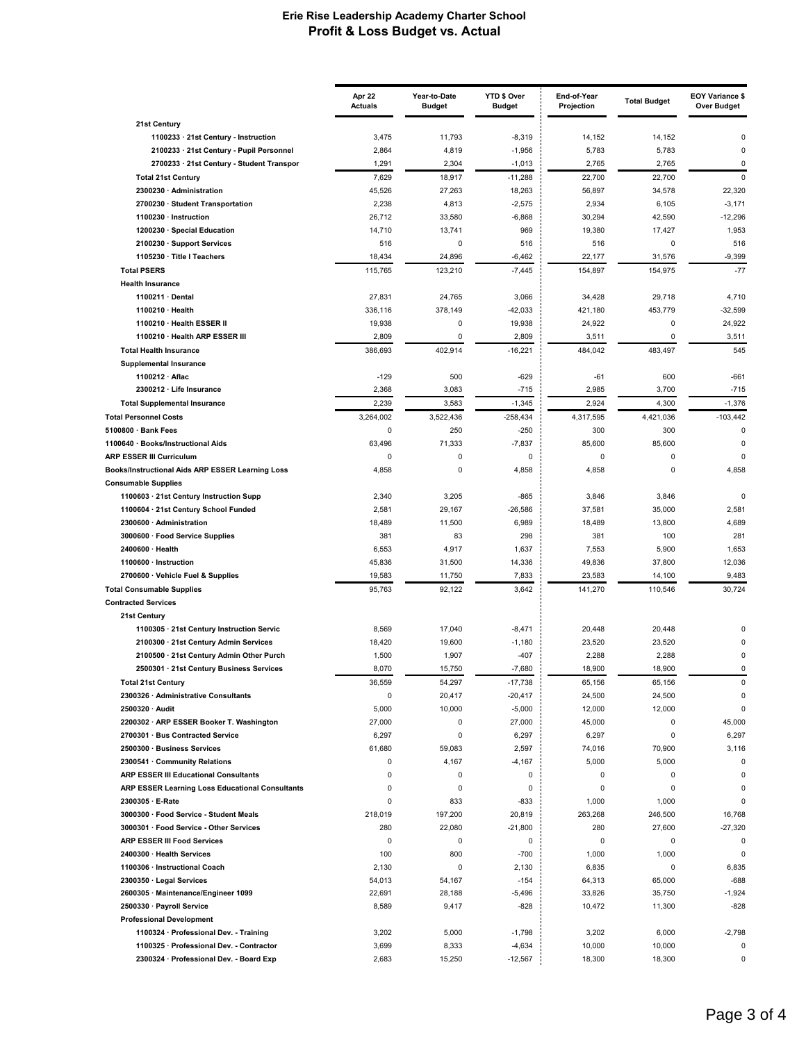|                                                                                | Apr 22<br><b>Actuals</b> | Year-to-Date<br><b>Budget</b> | YTD \$ Over<br><b>Budget</b> | End-of-Year<br>Projection | <b>Total Budget</b> | <b>EOY Variance \$</b><br><b>Over Budget</b> |
|--------------------------------------------------------------------------------|--------------------------|-------------------------------|------------------------------|---------------------------|---------------------|----------------------------------------------|
| 21st Century                                                                   |                          |                               |                              |                           |                     |                                              |
| 1100233 · 21st Century - Instruction                                           | 3,475                    | 11,793                        | $-8,319$                     | 14,152                    | 14,152              | 0                                            |
| 2100233 · 21st Century - Pupil Personnel                                       | 2,864                    | 4,819                         | $-1,956$                     | 5,783                     | 5,783               | 0                                            |
| 2700233 · 21st Century - Student Transpor                                      | 1,291                    | 2,304                         | $-1,013$                     | 2,765                     | 2,765               | 0                                            |
| <b>Total 21st Century</b>                                                      | 7,629                    | 18,917                        | $-11,288$                    | 22,700                    | 22,700              | $\mathbf 0$                                  |
| 2300230 · Administration                                                       | 45,526                   | 27,263                        | 18,263                       | 56,897                    | 34,578              | 22,320                                       |
| 2700230 · Student Transportation                                               | 2,238                    | 4,813                         | $-2,575$                     | 2,934                     | 6,105               | $-3,171$                                     |
| 1100230 · Instruction                                                          | 26,712                   | 33,580                        | $-6,868$                     | 30,294                    | 42,590              | $-12,296$                                    |
| 1200230 · Special Education                                                    | 14,710<br>516            | 13,741<br>0                   | 969<br>516                   | 19,380<br>516             | 17,427<br>0         | 1,953<br>516                                 |
| 2100230 · Support Services<br>1105230 · Title I Teachers                       | 18,434                   | 24,896                        | $-6,462$                     | 22,177                    | 31,576              | $-9,399$                                     |
| <b>Total PSERS</b>                                                             | 115.765                  | 123,210                       | $-7,445$                     | 154,897                   | 154,975             | $-77$                                        |
| <b>Health Insurance</b>                                                        |                          |                               |                              |                           |                     |                                              |
| 1100211 · Dental                                                               | 27,831                   | 24,765                        | 3,066                        | 34,428                    | 29,718              | 4,710                                        |
| 1100210 · Health                                                               | 336,116                  | 378,149                       | $-42,033$                    | 421,180                   | 453,779             | $-32,599$                                    |
| 1100210 · Health ESSER II                                                      | 19,938                   | 0                             | 19,938                       | 24,922                    | 0                   | 24,922                                       |
| 1100210 · Health ARP ESSER III                                                 | 2,809                    | 0                             | 2,809                        | 3,511                     | 0                   | 3,511                                        |
| <b>Total Health Insurance</b>                                                  | 386,693                  | 402,914                       | $-16,221$                    | 484,042                   | 483,497             | 545                                          |
| <b>Supplemental Insurance</b>                                                  |                          |                               |                              |                           |                     |                                              |
| 1100212 · Aflac                                                                | $-129$                   | 500                           | $-629$                       | $-61$                     | 600                 | $-661$                                       |
| 2300212 · Life Insurance                                                       | 2,368                    | 3,083                         | $-715$                       | 2,985                     | 3,700               | $-715$                                       |
| <b>Total Supplemental Insurance</b>                                            | 2,239                    | 3,583                         | $-1,345$                     | 2,924                     | 4,300               | $-1,376$                                     |
| <b>Total Personnel Costs</b>                                                   | 3,264,002                | 3,522,436                     | $-258,434$                   | 4,317,595                 | 4,421,036           | $-103,442$                                   |
| 5100800 · Bank Fees                                                            | 0                        | 250                           | $-250$                       | 300                       | 300                 | 0                                            |
| 1100640 · Books/Instructional Aids                                             | 63,496                   | 71,333                        | $-7,837$                     | 85,600                    | 85,600              | 0                                            |
| <b>ARP ESSER III Curriculum</b>                                                | 0                        | 0                             | 0                            | 0                         | 0                   | $\mathbf 0$                                  |
| Books/Instructional Aids ARP ESSER Learning Loss<br><b>Consumable Supplies</b> | 4,858                    | 0                             | 4,858                        | 4,858                     | 0                   | 4,858                                        |
| 1100603 · 21st Century Instruction Supp                                        | 2,340                    | 3,205                         | $-865$                       | 3,846                     | 3,846               | $\Omega$                                     |
| 1100604 · 21st Century School Funded                                           | 2,581                    | 29,167                        | $-26,586$                    | 37,581                    | 35,000              | 2,581                                        |
| 2300600 · Administration                                                       | 18,489                   | 11,500                        | 6,989                        | 18,489                    | 13,800              | 4,689                                        |
| 3000600 · Food Service Supplies                                                | 381                      | 83                            | 298                          | 381                       | 100                 | 281                                          |
| 2400600 · Health                                                               | 6,553                    | 4,917                         | 1,637                        | 7,553                     | 5,900               | 1,653                                        |
| 1100600 · Instruction                                                          | 45,836                   | 31,500                        | 14,336                       | 49,836                    | 37,800              | 12,036                                       |
| 2700600 · Vehicle Fuel & Supplies                                              | 19,583                   | 11,750                        | 7,833                        | 23,583                    | 14,100              | 9,483                                        |
| <b>Total Consumable Supplies</b>                                               | 95,763                   | 92,122                        | 3,642                        | 141,270                   | 110,546             | 30,724                                       |
| <b>Contracted Services</b>                                                     |                          |                               |                              |                           |                     |                                              |
| 21st Century<br>1100305 · 21st Century Instruction Servic                      | 8,569                    | 17,040                        | $-8,471$                     | 20,448                    | 20,448              | 0                                            |
| 2100300 · 21st Century Admin Services                                          | 18,420                   | 19,600                        | $-1,180$                     | 23,520                    | 23,520              | $\Omega$                                     |
| 2100500 · 21st Century Admin Other Purch                                       | 1,500                    | 1,907                         | $-407$                       | 2,288                     | 2,288               | 0                                            |
| 2500301 · 21st Century Business Services                                       | 8,070                    | 15,750                        | $-7,680$                     | 18,900                    | 18,900              | 0                                            |
| <b>Total 21st Century</b>                                                      | 36,559                   | 54,297                        | $-17,738$                    | 65,156                    | 65,156              | 0                                            |
| 2300326 · Administrative Consultants                                           | 0                        | 20,417                        | $-20,417$                    | 24,500                    | 24,500              | $\mathbf 0$                                  |
| 2500320 · Audit                                                                | 5,000                    | 10,000                        | $-5,000$                     | 12,000                    | 12,000              | $\mathbf 0$                                  |
| 2200302 · ARP ESSER Booker T. Washington                                       | 27,000                   | 0                             | 27,000                       | 45,000                    | 0                   | 45,000                                       |
| 2700301 · Bus Contracted Service                                               | 6,297                    | 0                             | 6,297                        | 6,297                     | 0                   | 6,297                                        |
| 2500300 · Business Services                                                    | 61,680                   | 59,083                        | 2,597                        | 74,016                    | 70,900              | 3,116                                        |
| 2300541 · Community Relations                                                  | 0                        | 4,167                         | $-4,167$                     | 5,000                     | 5,000               | 0                                            |
| <b>ARP ESSER III Educational Consultants</b>                                   | 0                        | 0                             | 0                            | 0                         | 0                   | $\mathbf 0$                                  |
| ARP ESSER Learning Loss Educational Consultants                                | 0                        | 0                             | 0                            | 0                         | 0                   | $\mathbf 0$                                  |
| 2300305 · E-Rate                                                               | 0                        | 833                           | $-833$                       | 1,000                     | 1,000               | 0                                            |
| 3000300 · Food Service - Student Meals                                         | 218,019                  | 197,200                       | 20,819                       | 263,268                   | 246,500             | 16,768                                       |
| 3000301 · Food Service - Other Services                                        | 280                      | 22,080                        | $-21,800$                    | 280                       | 27,600              | $-27,320$                                    |
| <b>ARP ESSER III Food Services</b>                                             | 0                        | 0                             | 0                            | 0                         | 0                   | 0                                            |
| 2400300 · Health Services                                                      | 100                      | 800                           | $-700$                       | 1,000                     | 1,000               | 0                                            |
| 1100306 · Instructional Coach                                                  | 2,130                    | 0                             | 2,130                        | 6,835                     | 0                   | 6,835                                        |
| 2300350 · Legal Services                                                       | 54,013                   | 54,167                        | $-154$                       | 64,313                    | 65,000              | $-688$                                       |
| 2600305 · Maintenance/Engineer 1099<br>2500330 · Payroll Service               | 22,691<br>8,589          | 28,188                        | $-5,496$<br>$-828$           | 33,826                    | 35,750              | $-1,924$<br>-828                             |
| <b>Professional Development</b>                                                |                          | 9,417                         |                              | 10,472                    | 11,300              |                                              |
| 1100324 · Professional Dev. - Training                                         | 3,202                    | 5,000                         | $-1,798$                     | 3,202                     | 6,000               | $-2,798$                                     |
| 1100325 · Professional Dev. - Contractor                                       | 3,699                    | 8,333                         | $-4,634$                     | 10,000                    | 10,000              | 0                                            |
| 2300324 · Professional Dev. - Board Exp                                        | 2,683                    | 15,250                        | $-12,567$                    | 18,300                    | 18,300              | 0                                            |
|                                                                                |                          |                               |                              |                           |                     |                                              |